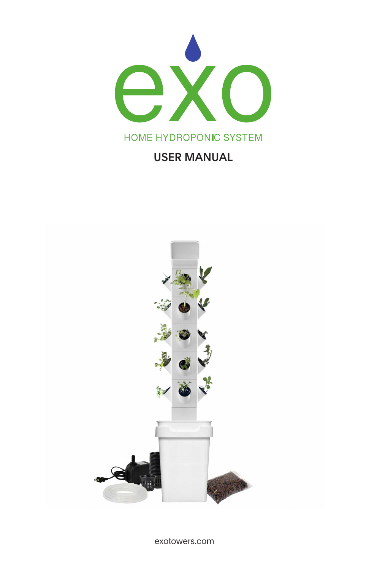

### **USER MANUAL**

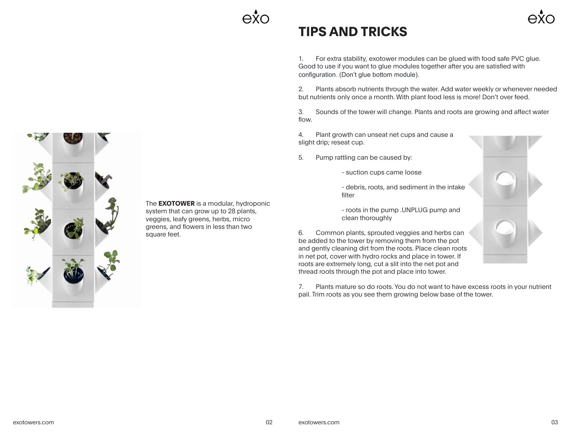# **TIPS AND TRICKS**

1. For extra stability, exotower modules can be glued with food safe PVC glue. Good to use if you want to glue modules together after you are satisfied with configuration. (Don't glue bottom module).

2. Plants absorb nutrients through the water. Add water weekly or whenever needed but nutrients only once a month. With plant food less is more! Don't over feed.

3. Sounds of the tower will change. Plants and roots are growing and affect water flow.

4. Plant growth can unseat net cups and cause a slight drip; reseat cup.

- 5. Pump rattling can be caused by:
	- suction cups came loose
	- debris, roots, and sediment in the intake filter
	- roots in the pump .UNPLUG pump and clean thoroughly

6. Common plants, sprouted veggies and herbs can be added to the tower by removing them from the pot and gently cleaning dirt from the roots. Place clean roots in net pot, cover with hydro rocks and place in tower. If roots are extremely long, cut a slit into the net pot and thread roots through the pot and place into tower.

7. Plants mature so do roots. You do not want to have excess roots in your nutrient pail. Trim roots as you see them growing below base of the tower.



The **EXOTOWER** is a modular, hydroponic system that can grow up to 28 plants, veggies, leafy greens, herbs, micro greens, and flowers in less than two square feet.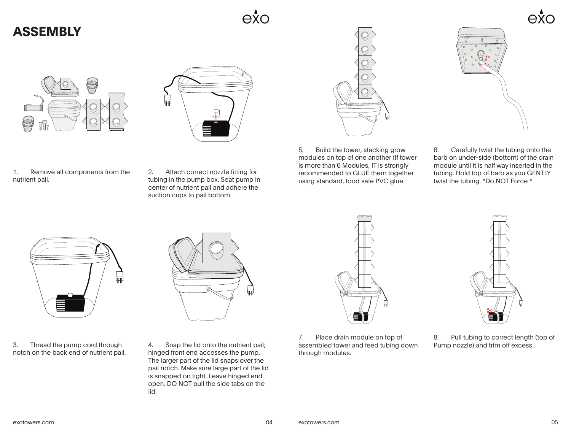## **ASSEMBLY**







1. Remove all components from the nutrient pail.

2. Attach correct nozzle fitting for tubing in the pump box. Seat pump in center of nutrient pail and adhere the suction cups to pail bottom.



5. Build the tower, stacking grow modules on top of one another (If tower is more than 6 Modules, IT is strongly recommended to GLUE them together using standard, food safe PVC glue.



6. Carefully twist the tubing onto the barb on under-side (bottom) of the drain module until it is half way inserted in the tubing. Hold top of barb as you GENTLY twist the tubing. \*Do NOT Force \*



3. Thread the pump cord through notch on the back end of nutrient pail.



4. Snap the lid onto the nutrient pail; hinged front end accesses the pump. The larger part of the lid snaps over the pail notch. Make sure large part of the lid is snapped on tight. Leave hinged end open. DO NOT pull the side tabs on the lid.



7. Place drain module on top of assembled tower and feed tubing down through modules.



8. Pull tubing to correct length (top of Pump nozzle) and trim off excess.